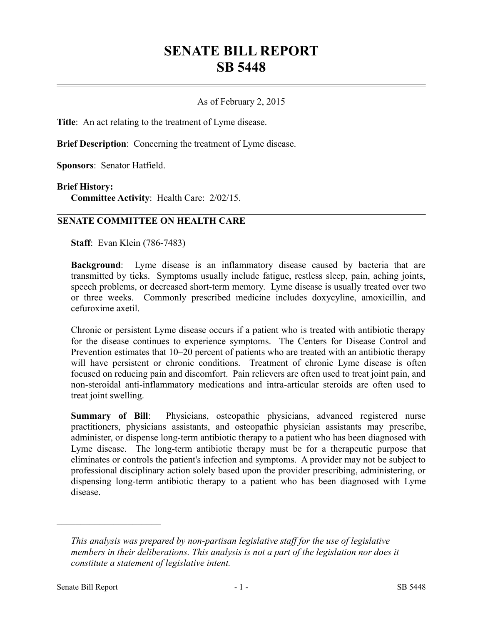# **SENATE BILL REPORT SB 5448**

## As of February 2, 2015

**Title**: An act relating to the treatment of Lyme disease.

**Brief Description**: Concerning the treatment of Lyme disease.

**Sponsors**: Senator Hatfield.

#### **Brief History:**

**Committee Activity**: Health Care: 2/02/15.

### **SENATE COMMITTEE ON HEALTH CARE**

**Staff**: Evan Klein (786-7483)

**Background**: Lyme disease is an inflammatory disease caused by bacteria that are transmitted by ticks. Symptoms usually include fatigue, restless sleep, pain, aching joints, speech problems, or decreased short-term memory. Lyme disease is usually treated over two or three weeks. Commonly prescribed medicine includes doxycyline, amoxicillin, and cefuroxime axetil.

Chronic or persistent Lyme disease occurs if a patient who is treated with antibiotic therapy for the disease continues to experience symptoms. The Centers for Disease Control and Prevention estimates that 10–20 percent of patients who are treated with an antibiotic therapy will have persistent or chronic conditions. Treatment of chronic Lyme disease is often focused on reducing pain and discomfort. Pain relievers are often used to treat joint pain, and non-steroidal anti-inflammatory medications and intra-articular steroids are often used to treat joint swelling.

**Summary of Bill**: Physicians, osteopathic physicians, advanced registered nurse practitioners, physicians assistants, and osteopathic physician assistants may prescribe, administer, or dispense long-term antibiotic therapy to a patient who has been diagnosed with Lyme disease. The long-term antibiotic therapy must be for a therapeutic purpose that eliminates or controls the patient's infection and symptoms. A provider may not be subject to professional disciplinary action solely based upon the provider prescribing, administering, or dispensing long-term antibiotic therapy to a patient who has been diagnosed with Lyme disease.

––––––––––––––––––––––

*This analysis was prepared by non-partisan legislative staff for the use of legislative members in their deliberations. This analysis is not a part of the legislation nor does it constitute a statement of legislative intent.*